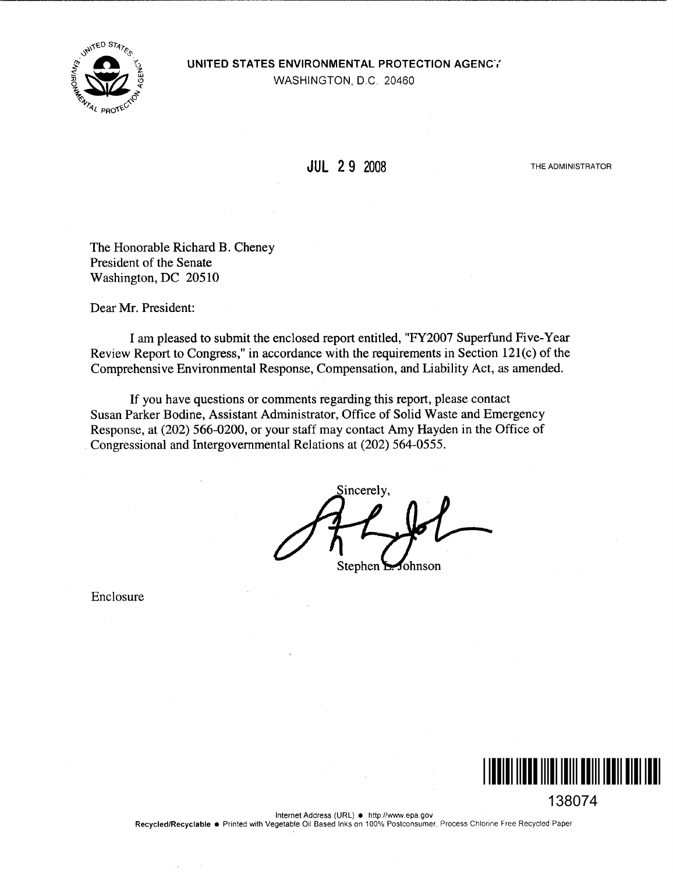

UNITED STATES ENVIRONMENTAL PROTECTION AGENCY

WASHINGTON, D.C. 20460

## JUL 2 9 2008

THE ADMINISTRATOR

The Honorable Richard B. Cheney President of the Senate Washington, DC 20510

Dear Mr. President:

I am pleased to submit the enclosed report entitled, "FY2007 Superfund Five-Year Review Report to Congress," in accordance with the requirements in Section 121(c) of the Comprehensive Environmental Response, Compensation, and Liability Act, as amended.

If you have questions or comments regarding this report, please contact Susan Parker Bodine, Assistant Administrator, Office of Solid Waste and Emergency Response, at (202) 566-0200, or your staff may contact Amy Hayden in the Office of Congressional and Intergovernmental Relations at (202) 564-0555.

sincerely, Stephen  $\Sigma$ fohnson

Enclosure



138074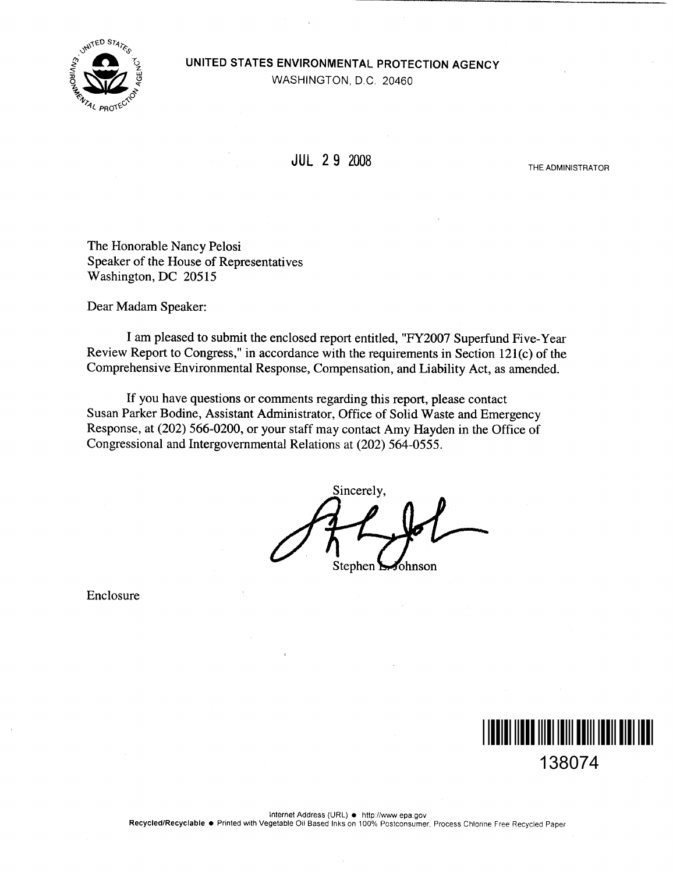

## UNITED STATES ENVIRONMENTAL PROTECTION AGENCY

WASHINGTON, D.C. 20460

JUL 2 9 2008

THE ADMINISTRATOR

The Honorable Nancy Pelosi Speaker of the House of Representatives Washington, DC 20515

Dear Madam Speaker:

I am pleased to submit the enclosed report entitled, "FY2007 Superfund Five-Year Review Report to Congress," in accordance with the requirements in Section 121(c) of the Comprehensive Environmental Response, Compensation, and Liability Act, as amended.

If you have questions or comments regarding this report, please contact Susan Parker Bodine, Assistant Administrator, Office of Solid Waste and Emergency Response, at (202) 566-0200, or your staff may contact Amy Hayden in the Office of Congressional and Intergovernmental Relations at (202) 564-0555 .

Sincerely, Stephen  $\Sigma$ Johnson

Enclosure

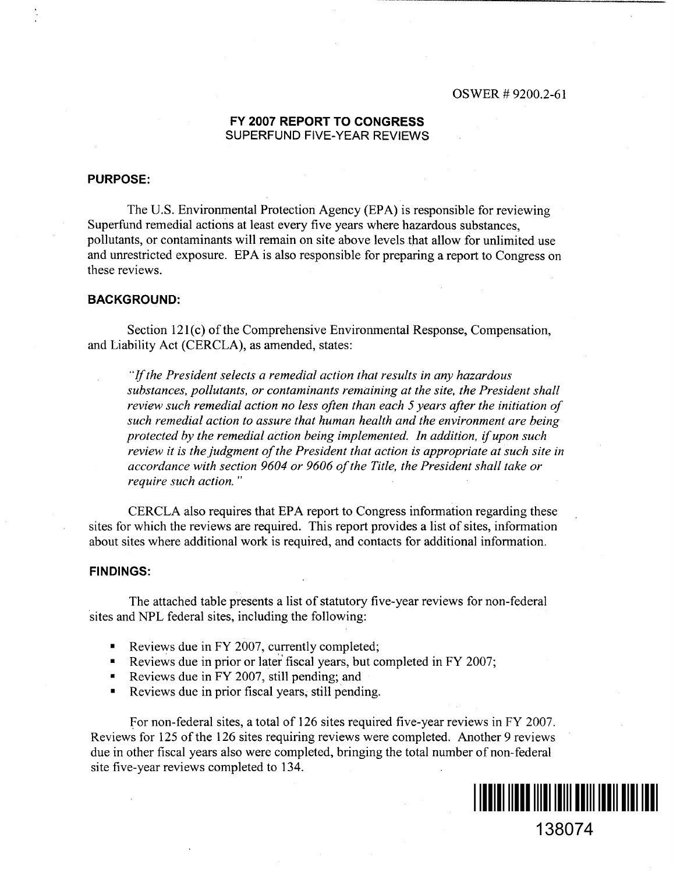#### FY 2007 REPORT TO CONGRESS SUPERFUND FIVE-YEAR REVIEWS

#### PURPOSE:

The U.S. Environmental Protection Agency (EPA) is responsible for reviewing Superfund remedial actions at least every five years where hazardous substances, pollutants, or contaminants will remain on site above levels that allow for unlimited use and unrestricted exposure. EPA is also responsible for preparing a report to Congress on these reviews.

#### **BACKGROUND:**

Section 121(c) of the Comprehensive Environmental Response, Compensation, and Liability Act (CERCLA), as amended, states:

"If the President selects a remedial action that results in any hazardous substances, pollutants, or contaminants remaining at the site, the President shall review such remedial action no less often than each 5 years after the initiation of such remedial action to assure that human health and the environment are being protected by the remedial action being implemented. In addition, if upon such review it is the judgment of the President that action is appropriate at such site in accordance with section 9604 or 9606 of the Title, the President shall take or require such action. "

CERCLA also requires that EPA report to Congress information regarding these sites for which the reviews are required. This report provides a list of sites, information about sites where additional work is required, and contacts for additional information.

#### FINDINGS:

The attached table presents a list of statutory five-year reviews for non-federal sites and NPL federal sites, including the following:

- Reviews due in FY 2007, currently completed;
- . Reviews due in prior or later fiscal years, but completed in FY 2007;
- Reviews due in FY 2007, still pending; and
- Reviews due in prior fiscal years; still pending.

For non-federal sites, a total of 126 sites required five-year reviews in FY 2007. Reviews for 125 of the 126 sites requiring reviews were completed. Another 9 reviews due in other fiscal years also were completed, bringing the total number of non-federal site five-year reviews completed to 134.



138074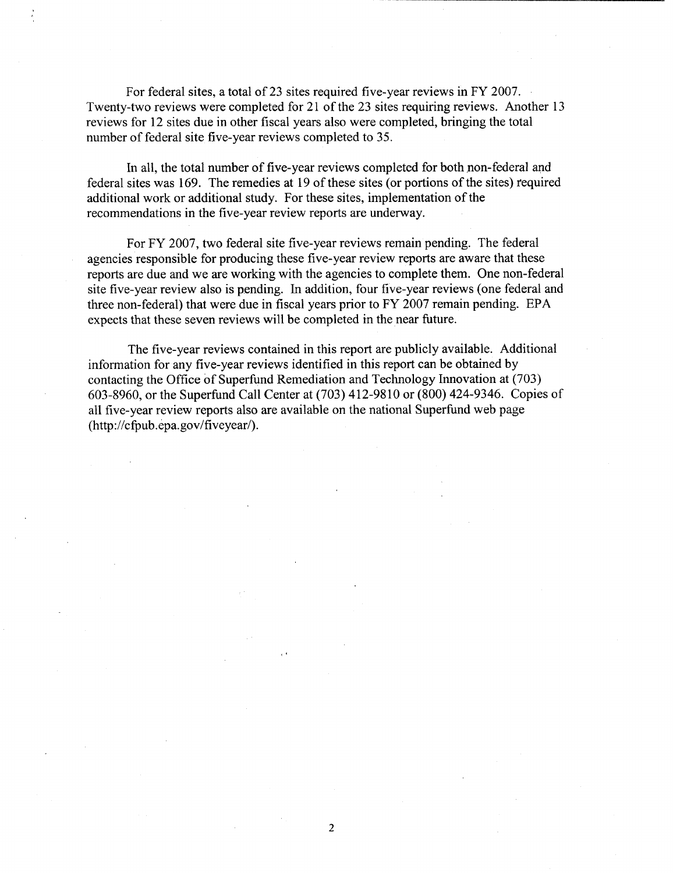For federal sites, atotal of 23 sites required five-year reviews in FY 2007. Twenty-two reviews were completed for 21 of the 23 sites requiring reviews. Another 13 reviews for 12 sites due in other fiscal years also were completed, bringing the total number of federal site five-year reviews completed to 35.

In all, the total number of five-year reviews completed for both non-federal and federal sites was 169. The remedies at 19 of these sites (or portions of the sites) required additional work or additional study. For these sites, implementation of the recommendations in the five-year review reports are underway.

For FY 2007, two federal site five-year reviews remain pending. The federal agencies responsible for producing these five-year review reports are aware that these reports are due and we are working with the agencies to complete them. One non-federal site five-year review also is pending. In addition, four five-year reviews (one federal and three non-federal) that were due in fiscal years prior to FY 2007 remain pending. EPA expects that these seven reviews will be completed in the near future.

The five-year reviews contained in this report are publicly available. Additional information for any five-year reviews identified in this report can be obtained by contacting the Office of Superfund Remediation and Technology Innovation at (703) 603-8960, or the Superfund Call Center at (703) 412-9810 or (800) 424-9346 . Copies of all five-year review reports also are available on the national Superfund web page (http://cfpub .epa.gov/fiveyear/).

 $\overline{2}$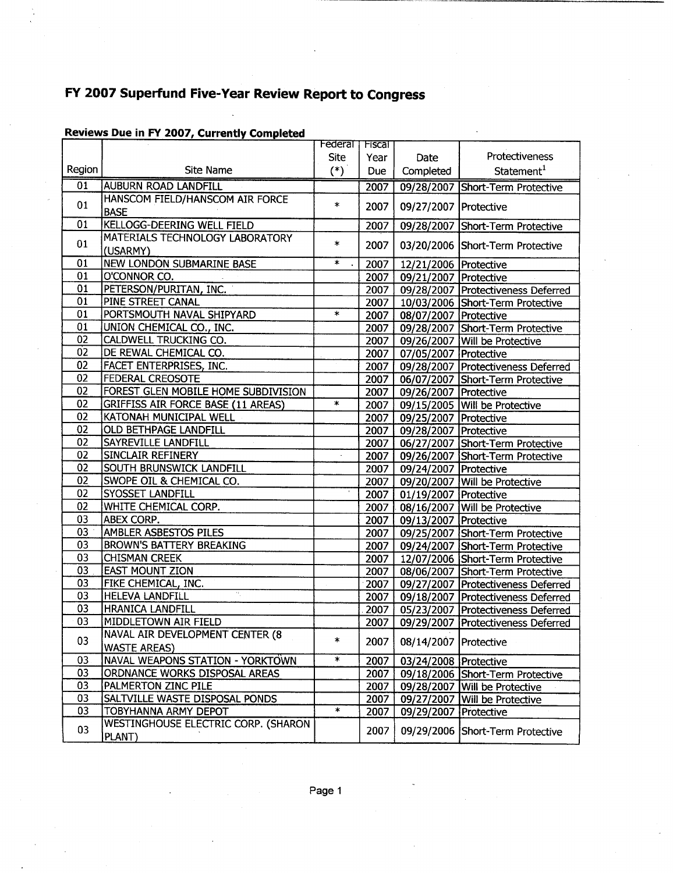|                 |                                           | Federal T         | <b>Fiscal</b> |                         |                                      |
|-----------------|-------------------------------------------|-------------------|---------------|-------------------------|--------------------------------------|
|                 |                                           | <b>Site</b>       | Year          | Date                    | Protectiveness                       |
| Region          | <b>Site Name</b>                          | $(*)$             | Due           | Completed               | Statement <sup>1</sup>               |
| $\overline{01}$ | <b>AUBURN ROAD LANDFILL</b>               |                   | 2007          |                         | 09/28/2007 Short-Term Protective     |
| 01              | HANSCOM FIELD/HANSCOM AIR FORCE           | $\ast$            |               |                         |                                      |
|                 | <b>BASE</b>                               |                   | 2007          | 09/27/2007 Protective   |                                      |
| 01              | KELLOGG-DEERING WELL FIELD                |                   | 2007          |                         | 09/28/2007 Short-Term Protective     |
| 01              | MATERIALS TECHNOLOGY LABORATORY           | $\ast$            | 2007          |                         | 03/20/2006 Short-Term Protective     |
|                 | (USARMY)                                  |                   |               |                         |                                      |
| 01              | <b>NEW LONDON SUBMARINE BASE</b>          | $\ast$            | 2007          | 12/21/2006 Protective   |                                      |
| 01              | O'CONNOR CO.                              |                   | 2007          | 09/21/2007 Protective   |                                      |
| 01              | PETERSON/PURITAN, INC.                    |                   | 2007          |                         | 09/28/2007 Protectiveness Deferred   |
| 01              | PINE STREET CANAL                         |                   | 2007          |                         | 10/03/2006 Short-Term Protective     |
| 01              | PORTSMOUTH NAVAL SHIPYARD                 | $\ast$            | 2007          | 08/07/2007 Protective   |                                      |
| 01              | UNION CHEMICAL CO., INC.                  |                   | 2007          |                         | 09/28/2007 Short-Term Protective     |
| 02              | CALDWELL TRUCKING CO.                     |                   | 2007          |                         | 09/26/2007 Will be Protective        |
| $\overline{02}$ | DE REWAL CHEMICAL CO.                     |                   | 2007          | 07/05/2007 Protective   |                                      |
| 02              | FACET ENTERPRISES, INC.                   |                   | 2007          |                         | 09/28/2007   Protectiveness Deferred |
| 02              | FEDERAL CREOSOTE                          |                   | 2007          |                         | 06/07/2007 Short-Term Protective     |
| 02              | FOREST GLEN MOBILE HOME SUBDIVISION       |                   | 2007          | 09/26/2007 Protective   |                                      |
| 02              | <b>GRIFFISS AIR FORCE BASE (11 AREAS)</b> | $\ast$            | 2007          |                         | 09/15/2005 Will be Protective        |
| 02              | KATONAH MUNICIPAL WELL                    |                   | 2007          | 09/25/2007 Protective   |                                      |
| 02              | <b>OLD BETHPAGE LANDFILL</b>              |                   | 2007          | 09/28/2007 Protective   |                                      |
| 02              | <b>SAYREVILLE LANDFILL</b>                |                   |               |                         |                                      |
| 02              | <b>SINCLAIR REFINERY</b>                  |                   | 2007          |                         | 06/27/2007 Short-Term Protective     |
| 02              | <b>SOUTH BRUNSWICK LANDFILL</b>           |                   | 2007          |                         | 09/26/2007 Short-Term Protective     |
|                 |                                           |                   | 2007          | 09/24/2007 Protective   |                                      |
| 02              | SWOPE OIL & CHEMICAL CO.                  |                   | 2007          |                         | 09/20/2007   Will be Protective      |
| 02              | <b>SYOSSET LANDFILL</b>                   |                   | 2007          | 01/19/2007 Protective   |                                      |
| 02              | WHITE CHEMICAL CORP.                      |                   | 2007          |                         | 08/16/2007 Will be Protective        |
| 03              | ABEX CORP.                                |                   | 2007          | 09/13/2007 Protective   |                                      |
| 03              | <b>AMBLER ASBESTOS PILES</b>              |                   | 2007          |                         | 09/25/2007 Short-Term Protective     |
| 03              | <b>BROWN'S BATTERY BREAKING</b>           |                   | 2007          |                         | 09/24/2007 Short-Term Protective     |
| 03              | <b>CHISMAN CREEK</b>                      |                   | 2007          |                         | 12/07/2006 Short-Term Protective     |
| 03              | <b>EAST MOUNT ZION</b>                    |                   | 2007          |                         | 08/06/2007 Short-Term Protective     |
| 03              | FIKE CHEMICAL, INC.                       |                   | 2007          |                         | 09/27/2007 Protectiveness Deferred   |
| 03              | $\alpha$<br><b>HELEVA LANDFILL</b>        |                   | 2007          |                         | 09/18/2007 Protectiveness Deferred   |
| 03              | <b>HRANICA LANDFILL</b>                   |                   | 2007          |                         | 05/23/2007 Protectiveness Deferred   |
| 03              | MIDDLETOWN AIR FIELD                      |                   | 2007          |                         | 09/29/2007 Protectiveness Deferred   |
|                 | NAVAL AIR DEVELOPMENT CENTER (8           |                   |               |                         |                                      |
| 03              | <b>WASTE AREAS)</b>                       | $\ast$            | 2007          | 08/14/2007   Protective |                                      |
| 03              | <b>NAVAL WEAPONS STATION - YORKTOWN</b>   | $\overline{\ast}$ | 2007          | 03/24/2008   Protective |                                      |
| 03              | ORDNANCE WORKS DISPOSAL AREAS             |                   | 2007          |                         | 09/18/2006 Short-Term Protective     |
| 03              | PALMERTON ZINC PILE                       |                   | 2007          |                         | 09/28/2007 Will be Protective        |
| 03              | SALTVILLE WASTE DISPOSAL PONDS            |                   | 2007          | 09/27/2007              | Will be Protective                   |
| 03              | TOBYHANNA ARMY DEPOT                      | $\ast$            | 2007          | 09/29/2007 Protective   |                                      |
|                 | WESTINGHOUSE ELECTRIC CORP. (SHARON       |                   |               |                         |                                      |
| 03              | PLANT)                                    |                   | 2007          |                         | 09/29/2006 Short-Term Protective     |
|                 |                                           |                   |               |                         |                                      |

### Reviews Due in FY 2007, Currently Completed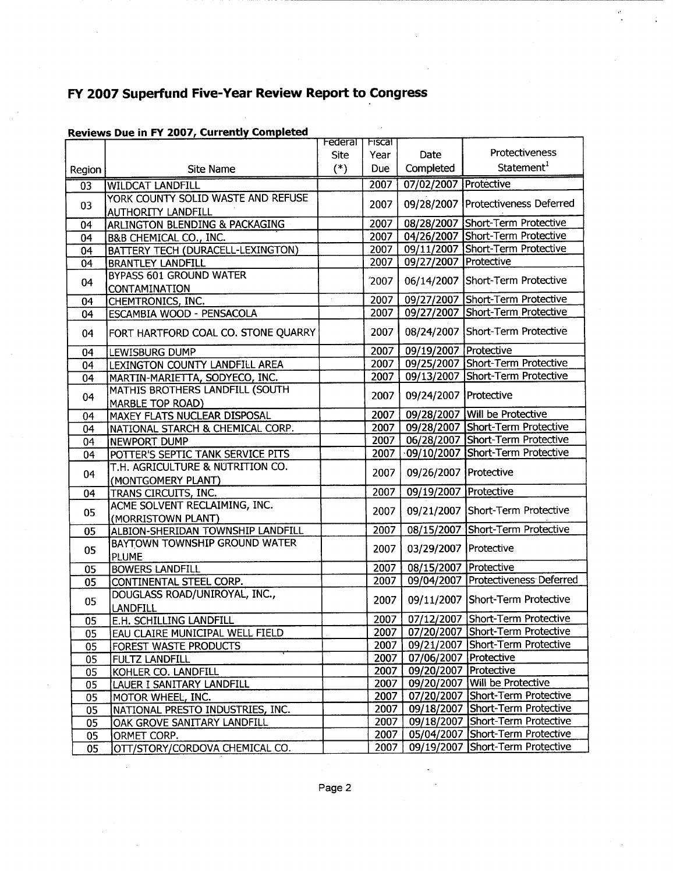| Protectiveness<br><b>Site</b><br>Date<br>Year<br>Statement <sup>1</sup><br>Completed<br>$(*)$<br><b>Due</b><br>Site Name<br>Region<br>2007<br>07/02/2007 Protective<br><b>WILDCAT LANDFILL</b><br>0 <sub>3</sub><br>YORK COUNTY SOLID WASTE AND REFUSE<br>09/28/2007 Protectiveness Deferred<br>2007<br>03<br><b>AUTHORITY LANDFILL</b><br>08/28/2007 Short-Term Protective<br>2007<br>ARLINGTON BLENDING & PACKAGING<br>04<br>2007<br>04/26/2007 Short-Term Protective<br>B&B CHEMICAL CO., INC.<br>04<br>09/11/2007 Short-Term Protective<br>2007<br>BATTERY TECH (DURACELL-LEXINGTON)<br>04<br>09/27/2007 Protective<br>2007<br><b>BRANTLEY LANDFILL</b><br>04<br><b>BYPASS 601 GROUND WATER</b><br>06/14/2007 Short-Term Protective<br>2007<br>04<br><b>CONTAMINATION</b><br>09/27/2007 Short-Term Protective<br>2007<br>$\sim$<br>CHEMTRONICS, INC.<br>04<br>09/27/2007 Short-Term Protective<br>2007<br>ESCAMBIA WOOD - PENSACOLA<br>04<br>08/24/2007 Short-Term Protective<br>2007<br>FORT HARTFORD COAL CO. STONE QUARRY<br>04<br>09/19/2007   Protective<br>2007<br>04<br>LEWISBURG DUMP<br>09/25/2007 Short-Term Protective<br>2007<br>LEXINGTON COUNTY LANDFILL AREA<br>04<br>09/13/2007 Short-Term Protective<br>2007<br>MARTIN-MARIETTA, SODYECO, INC.<br>04<br>MATHIS BROTHERS LANDFILL (SOUTH<br>09/24/2007 Protective<br>2007<br>04<br>MARBLE TOP ROAD)<br>09/28/2007 Will be Protective<br>2007<br><b>MAXEY FLATS NUCLEAR DISPOSAL</b><br>04<br>09/28/2007 Short-Term Protective<br>2007<br>NATIONAL STARCH & CHEMICAL CORP.<br>04<br>06/28/2007 Short-Term Protective<br>2007<br>NEWPORT DUMP<br>04<br>09/10/2007 Short-Term Protective<br>2007<br>POTTER'S SEPTIC TANK SERVICE PITS<br>04<br>T.H. AGRICULTURE & NUTRITION CO.<br>09/26/2007   Protective<br>2007<br>04<br>(MONTGOMERY PLANT)<br>09/19/2007 Protective<br>2007<br>TRANS CIRCUITS, INC.<br>04<br>ACME SOLVENT RECLAIMING, INC.<br>09/21/2007 Short-Term Protective<br>2007<br>05<br>(MORRISTOWN PLANT)<br>08/15/2007 Short-Term Protective<br>ALBION-SHERIDAN TOWNSHIP LANDFILL<br>2007<br>05<br>BAYTOWN TOWNSHIP GROUND WATER<br>03/29/2007   Protective<br>2007<br>05<br><b>PLUME</b> |
|--------------------------------------------------------------------------------------------------------------------------------------------------------------------------------------------------------------------------------------------------------------------------------------------------------------------------------------------------------------------------------------------------------------------------------------------------------------------------------------------------------------------------------------------------------------------------------------------------------------------------------------------------------------------------------------------------------------------------------------------------------------------------------------------------------------------------------------------------------------------------------------------------------------------------------------------------------------------------------------------------------------------------------------------------------------------------------------------------------------------------------------------------------------------------------------------------------------------------------------------------------------------------------------------------------------------------------------------------------------------------------------------------------------------------------------------------------------------------------------------------------------------------------------------------------------------------------------------------------------------------------------------------------------------------------------------------------------------------------------------------------------------------------------------------------------------------------------------------------------------------------------------------------------------------------------------------------------------------------------------------------------------------------------------------------------------------------------------------------------------------------------------------------------------------|
|                                                                                                                                                                                                                                                                                                                                                                                                                                                                                                                                                                                                                                                                                                                                                                                                                                                                                                                                                                                                                                                                                                                                                                                                                                                                                                                                                                                                                                                                                                                                                                                                                                                                                                                                                                                                                                                                                                                                                                                                                                                                                                                                                                          |
|                                                                                                                                                                                                                                                                                                                                                                                                                                                                                                                                                                                                                                                                                                                                                                                                                                                                                                                                                                                                                                                                                                                                                                                                                                                                                                                                                                                                                                                                                                                                                                                                                                                                                                                                                                                                                                                                                                                                                                                                                                                                                                                                                                          |
|                                                                                                                                                                                                                                                                                                                                                                                                                                                                                                                                                                                                                                                                                                                                                                                                                                                                                                                                                                                                                                                                                                                                                                                                                                                                                                                                                                                                                                                                                                                                                                                                                                                                                                                                                                                                                                                                                                                                                                                                                                                                                                                                                                          |
|                                                                                                                                                                                                                                                                                                                                                                                                                                                                                                                                                                                                                                                                                                                                                                                                                                                                                                                                                                                                                                                                                                                                                                                                                                                                                                                                                                                                                                                                                                                                                                                                                                                                                                                                                                                                                                                                                                                                                                                                                                                                                                                                                                          |
|                                                                                                                                                                                                                                                                                                                                                                                                                                                                                                                                                                                                                                                                                                                                                                                                                                                                                                                                                                                                                                                                                                                                                                                                                                                                                                                                                                                                                                                                                                                                                                                                                                                                                                                                                                                                                                                                                                                                                                                                                                                                                                                                                                          |
|                                                                                                                                                                                                                                                                                                                                                                                                                                                                                                                                                                                                                                                                                                                                                                                                                                                                                                                                                                                                                                                                                                                                                                                                                                                                                                                                                                                                                                                                                                                                                                                                                                                                                                                                                                                                                                                                                                                                                                                                                                                                                                                                                                          |
|                                                                                                                                                                                                                                                                                                                                                                                                                                                                                                                                                                                                                                                                                                                                                                                                                                                                                                                                                                                                                                                                                                                                                                                                                                                                                                                                                                                                                                                                                                                                                                                                                                                                                                                                                                                                                                                                                                                                                                                                                                                                                                                                                                          |
|                                                                                                                                                                                                                                                                                                                                                                                                                                                                                                                                                                                                                                                                                                                                                                                                                                                                                                                                                                                                                                                                                                                                                                                                                                                                                                                                                                                                                                                                                                                                                                                                                                                                                                                                                                                                                                                                                                                                                                                                                                                                                                                                                                          |
|                                                                                                                                                                                                                                                                                                                                                                                                                                                                                                                                                                                                                                                                                                                                                                                                                                                                                                                                                                                                                                                                                                                                                                                                                                                                                                                                                                                                                                                                                                                                                                                                                                                                                                                                                                                                                                                                                                                                                                                                                                                                                                                                                                          |
|                                                                                                                                                                                                                                                                                                                                                                                                                                                                                                                                                                                                                                                                                                                                                                                                                                                                                                                                                                                                                                                                                                                                                                                                                                                                                                                                                                                                                                                                                                                                                                                                                                                                                                                                                                                                                                                                                                                                                                                                                                                                                                                                                                          |
|                                                                                                                                                                                                                                                                                                                                                                                                                                                                                                                                                                                                                                                                                                                                                                                                                                                                                                                                                                                                                                                                                                                                                                                                                                                                                                                                                                                                                                                                                                                                                                                                                                                                                                                                                                                                                                                                                                                                                                                                                                                                                                                                                                          |
|                                                                                                                                                                                                                                                                                                                                                                                                                                                                                                                                                                                                                                                                                                                                                                                                                                                                                                                                                                                                                                                                                                                                                                                                                                                                                                                                                                                                                                                                                                                                                                                                                                                                                                                                                                                                                                                                                                                                                                                                                                                                                                                                                                          |
|                                                                                                                                                                                                                                                                                                                                                                                                                                                                                                                                                                                                                                                                                                                                                                                                                                                                                                                                                                                                                                                                                                                                                                                                                                                                                                                                                                                                                                                                                                                                                                                                                                                                                                                                                                                                                                                                                                                                                                                                                                                                                                                                                                          |
|                                                                                                                                                                                                                                                                                                                                                                                                                                                                                                                                                                                                                                                                                                                                                                                                                                                                                                                                                                                                                                                                                                                                                                                                                                                                                                                                                                                                                                                                                                                                                                                                                                                                                                                                                                                                                                                                                                                                                                                                                                                                                                                                                                          |
|                                                                                                                                                                                                                                                                                                                                                                                                                                                                                                                                                                                                                                                                                                                                                                                                                                                                                                                                                                                                                                                                                                                                                                                                                                                                                                                                                                                                                                                                                                                                                                                                                                                                                                                                                                                                                                                                                                                                                                                                                                                                                                                                                                          |
|                                                                                                                                                                                                                                                                                                                                                                                                                                                                                                                                                                                                                                                                                                                                                                                                                                                                                                                                                                                                                                                                                                                                                                                                                                                                                                                                                                                                                                                                                                                                                                                                                                                                                                                                                                                                                                                                                                                                                                                                                                                                                                                                                                          |
|                                                                                                                                                                                                                                                                                                                                                                                                                                                                                                                                                                                                                                                                                                                                                                                                                                                                                                                                                                                                                                                                                                                                                                                                                                                                                                                                                                                                                                                                                                                                                                                                                                                                                                                                                                                                                                                                                                                                                                                                                                                                                                                                                                          |
|                                                                                                                                                                                                                                                                                                                                                                                                                                                                                                                                                                                                                                                                                                                                                                                                                                                                                                                                                                                                                                                                                                                                                                                                                                                                                                                                                                                                                                                                                                                                                                                                                                                                                                                                                                                                                                                                                                                                                                                                                                                                                                                                                                          |
|                                                                                                                                                                                                                                                                                                                                                                                                                                                                                                                                                                                                                                                                                                                                                                                                                                                                                                                                                                                                                                                                                                                                                                                                                                                                                                                                                                                                                                                                                                                                                                                                                                                                                                                                                                                                                                                                                                                                                                                                                                                                                                                                                                          |
|                                                                                                                                                                                                                                                                                                                                                                                                                                                                                                                                                                                                                                                                                                                                                                                                                                                                                                                                                                                                                                                                                                                                                                                                                                                                                                                                                                                                                                                                                                                                                                                                                                                                                                                                                                                                                                                                                                                                                                                                                                                                                                                                                                          |
|                                                                                                                                                                                                                                                                                                                                                                                                                                                                                                                                                                                                                                                                                                                                                                                                                                                                                                                                                                                                                                                                                                                                                                                                                                                                                                                                                                                                                                                                                                                                                                                                                                                                                                                                                                                                                                                                                                                                                                                                                                                                                                                                                                          |
|                                                                                                                                                                                                                                                                                                                                                                                                                                                                                                                                                                                                                                                                                                                                                                                                                                                                                                                                                                                                                                                                                                                                                                                                                                                                                                                                                                                                                                                                                                                                                                                                                                                                                                                                                                                                                                                                                                                                                                                                                                                                                                                                                                          |
|                                                                                                                                                                                                                                                                                                                                                                                                                                                                                                                                                                                                                                                                                                                                                                                                                                                                                                                                                                                                                                                                                                                                                                                                                                                                                                                                                                                                                                                                                                                                                                                                                                                                                                                                                                                                                                                                                                                                                                                                                                                                                                                                                                          |
|                                                                                                                                                                                                                                                                                                                                                                                                                                                                                                                                                                                                                                                                                                                                                                                                                                                                                                                                                                                                                                                                                                                                                                                                                                                                                                                                                                                                                                                                                                                                                                                                                                                                                                                                                                                                                                                                                                                                                                                                                                                                                                                                                                          |
|                                                                                                                                                                                                                                                                                                                                                                                                                                                                                                                                                                                                                                                                                                                                                                                                                                                                                                                                                                                                                                                                                                                                                                                                                                                                                                                                                                                                                                                                                                                                                                                                                                                                                                                                                                                                                                                                                                                                                                                                                                                                                                                                                                          |
|                                                                                                                                                                                                                                                                                                                                                                                                                                                                                                                                                                                                                                                                                                                                                                                                                                                                                                                                                                                                                                                                                                                                                                                                                                                                                                                                                                                                                                                                                                                                                                                                                                                                                                                                                                                                                                                                                                                                                                                                                                                                                                                                                                          |
|                                                                                                                                                                                                                                                                                                                                                                                                                                                                                                                                                                                                                                                                                                                                                                                                                                                                                                                                                                                                                                                                                                                                                                                                                                                                                                                                                                                                                                                                                                                                                                                                                                                                                                                                                                                                                                                                                                                                                                                                                                                                                                                                                                          |
|                                                                                                                                                                                                                                                                                                                                                                                                                                                                                                                                                                                                                                                                                                                                                                                                                                                                                                                                                                                                                                                                                                                                                                                                                                                                                                                                                                                                                                                                                                                                                                                                                                                                                                                                                                                                                                                                                                                                                                                                                                                                                                                                                                          |
|                                                                                                                                                                                                                                                                                                                                                                                                                                                                                                                                                                                                                                                                                                                                                                                                                                                                                                                                                                                                                                                                                                                                                                                                                                                                                                                                                                                                                                                                                                                                                                                                                                                                                                                                                                                                                                                                                                                                                                                                                                                                                                                                                                          |
|                                                                                                                                                                                                                                                                                                                                                                                                                                                                                                                                                                                                                                                                                                                                                                                                                                                                                                                                                                                                                                                                                                                                                                                                                                                                                                                                                                                                                                                                                                                                                                                                                                                                                                                                                                                                                                                                                                                                                                                                                                                                                                                                                                          |
| 08/15/2007 Protective<br>2007<br>05<br><b>BOWERS LANDFILL</b>                                                                                                                                                                                                                                                                                                                                                                                                                                                                                                                                                                                                                                                                                                                                                                                                                                                                                                                                                                                                                                                                                                                                                                                                                                                                                                                                                                                                                                                                                                                                                                                                                                                                                                                                                                                                                                                                                                                                                                                                                                                                                                            |
| 09/04/2007 Protectiveness Deferred<br>2007<br>05<br>CONTINENTAL STEEL CORP.                                                                                                                                                                                                                                                                                                                                                                                                                                                                                                                                                                                                                                                                                                                                                                                                                                                                                                                                                                                                                                                                                                                                                                                                                                                                                                                                                                                                                                                                                                                                                                                                                                                                                                                                                                                                                                                                                                                                                                                                                                                                                              |
| DOUGLASS ROAD/UNIROYAL, INC.,                                                                                                                                                                                                                                                                                                                                                                                                                                                                                                                                                                                                                                                                                                                                                                                                                                                                                                                                                                                                                                                                                                                                                                                                                                                                                                                                                                                                                                                                                                                                                                                                                                                                                                                                                                                                                                                                                                                                                                                                                                                                                                                                            |
| 09/11/2007 Short-Term Protective<br>2007<br>05<br>LANDFILL                                                                                                                                                                                                                                                                                                                                                                                                                                                                                                                                                                                                                                                                                                                                                                                                                                                                                                                                                                                                                                                                                                                                                                                                                                                                                                                                                                                                                                                                                                                                                                                                                                                                                                                                                                                                                                                                                                                                                                                                                                                                                                               |
| 07/12/2007 Short-Term Protective<br><b>E.H. SCHILLING LANDFILL</b><br>2007<br>05                                                                                                                                                                                                                                                                                                                                                                                                                                                                                                                                                                                                                                                                                                                                                                                                                                                                                                                                                                                                                                                                                                                                                                                                                                                                                                                                                                                                                                                                                                                                                                                                                                                                                                                                                                                                                                                                                                                                                                                                                                                                                         |
| 2007   07/20/2007 Short-Term Protective<br><b>EAU CLAIRE MUNICIPAL WELL FIELD</b><br>05                                                                                                                                                                                                                                                                                                                                                                                                                                                                                                                                                                                                                                                                                                                                                                                                                                                                                                                                                                                                                                                                                                                                                                                                                                                                                                                                                                                                                                                                                                                                                                                                                                                                                                                                                                                                                                                                                                                                                                                                                                                                                  |
| 09/21/2007 Short-Term Protective<br>2007<br>FOREST WASTE PRODUCTS<br>05                                                                                                                                                                                                                                                                                                                                                                                                                                                                                                                                                                                                                                                                                                                                                                                                                                                                                                                                                                                                                                                                                                                                                                                                                                                                                                                                                                                                                                                                                                                                                                                                                                                                                                                                                                                                                                                                                                                                                                                                                                                                                                  |
| 07/06/2007 Protective<br>2007<br>05<br>FULTZ LANDFILL                                                                                                                                                                                                                                                                                                                                                                                                                                                                                                                                                                                                                                                                                                                                                                                                                                                                                                                                                                                                                                                                                                                                                                                                                                                                                                                                                                                                                                                                                                                                                                                                                                                                                                                                                                                                                                                                                                                                                                                                                                                                                                                    |
| 09/20/2007<br>Protective<br>2007<br>KOHLER CO. LANDFILL<br>05                                                                                                                                                                                                                                                                                                                                                                                                                                                                                                                                                                                                                                                                                                                                                                                                                                                                                                                                                                                                                                                                                                                                                                                                                                                                                                                                                                                                                                                                                                                                                                                                                                                                                                                                                                                                                                                                                                                                                                                                                                                                                                            |
| 09/20/2007 Will be Protective<br>2007<br>LAUER I SANITARY LANDFILL<br>05                                                                                                                                                                                                                                                                                                                                                                                                                                                                                                                                                                                                                                                                                                                                                                                                                                                                                                                                                                                                                                                                                                                                                                                                                                                                                                                                                                                                                                                                                                                                                                                                                                                                                                                                                                                                                                                                                                                                                                                                                                                                                                 |
| 07/20/2007 Short-Term Protective<br>2007<br>MOTOR WHEEL, INC.<br>05                                                                                                                                                                                                                                                                                                                                                                                                                                                                                                                                                                                                                                                                                                                                                                                                                                                                                                                                                                                                                                                                                                                                                                                                                                                                                                                                                                                                                                                                                                                                                                                                                                                                                                                                                                                                                                                                                                                                                                                                                                                                                                      |
| 09/18/2007 Short-Term Protective<br>2007<br>NATIONAL PRESTO INDUSTRIES, INC.<br>05                                                                                                                                                                                                                                                                                                                                                                                                                                                                                                                                                                                                                                                                                                                                                                                                                                                                                                                                                                                                                                                                                                                                                                                                                                                                                                                                                                                                                                                                                                                                                                                                                                                                                                                                                                                                                                                                                                                                                                                                                                                                                       |
| 09/18/2007 Short-Term Protective<br>2007<br>05<br>OAK GROVE SANITARY LANDFILL                                                                                                                                                                                                                                                                                                                                                                                                                                                                                                                                                                                                                                                                                                                                                                                                                                                                                                                                                                                                                                                                                                                                                                                                                                                                                                                                                                                                                                                                                                                                                                                                                                                                                                                                                                                                                                                                                                                                                                                                                                                                                            |
| 05/04/2007 Short-Term Protective<br>2007<br>05<br>ORMET CORP.                                                                                                                                                                                                                                                                                                                                                                                                                                                                                                                                                                                                                                                                                                                                                                                                                                                                                                                                                                                                                                                                                                                                                                                                                                                                                                                                                                                                                                                                                                                                                                                                                                                                                                                                                                                                                                                                                                                                                                                                                                                                                                            |
| 09/19/2007 Short-Term Protective<br>2007<br>OTT/STORY/CORDOVA CHEMICAL CO.<br>05                                                                                                                                                                                                                                                                                                                                                                                                                                                                                                                                                                                                                                                                                                                                                                                                                                                                                                                                                                                                                                                                                                                                                                                                                                                                                                                                                                                                                                                                                                                                                                                                                                                                                                                                                                                                                                                                                                                                                                                                                                                                                         |

## Reviews Due in FY 2007, Currently Completed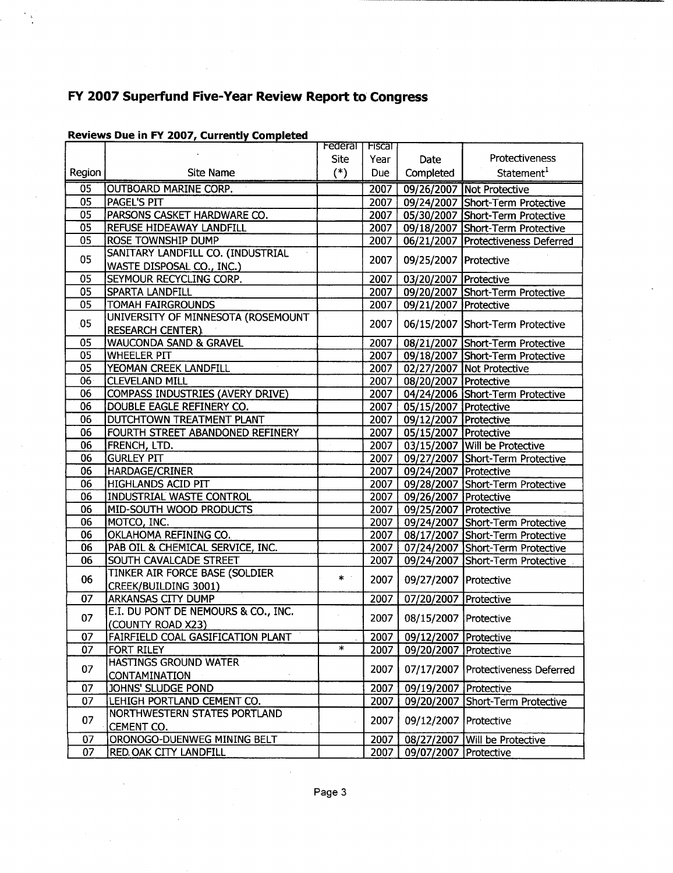|        |                                          | <b>Federal</b> I | <b>Fiscal</b> |                                |                                    |
|--------|------------------------------------------|------------------|---------------|--------------------------------|------------------------------------|
|        |                                          | <b>Site</b>      | Year          | Date                           | Protectiveness                     |
| Region | <b>Site Name</b>                         | $(*)$            | Due           | Completed                      | Statement <sup>1</sup>             |
| 05     | <b>OUTBOARD MARINE CORP.</b>             |                  | 2007          |                                | 09/26/2007 Not Protective          |
| 05     | PAGEL'S PIT                              |                  | 2007          |                                | 09/24/2007 Short-Term Protective   |
| 05     | PARSONS CASKET HARDWARE CO.              |                  | 2007          |                                | 05/30/2007 Short-Term Protective   |
| 05     | REFUSE HIDEAWAY LANDFILL                 |                  | 2007          |                                | 09/18/2007 Short-Term Protective   |
| 05     | ROSE TOWNSHIP DUMP                       |                  | 2007          |                                | 06/21/2007 Protectiveness Deferred |
| 05     | SANITARY LANDFILL CO. (INDUSTRIAL        |                  | 2007          | 09/25/2007   Protective        |                                    |
|        | WASTE DISPOSAL CO., INC.)                |                  |               |                                |                                    |
| 05     | SEYMOUR RECYCLING CORP.                  |                  | 2007          | 03/20/2007 Protective          |                                    |
| 05     | SPARTA LANDFILL                          |                  | 2007          |                                | 09/20/2007 Short-Term Protective   |
| 05     | <b>TOMAH FAIRGROUNDS</b>                 |                  | 2007          | 09/21/2007 Protective          |                                    |
| 05     | UNIVERSITY OF MINNESOTA (ROSEMOUNT       |                  | 2007          |                                | 06/15/2007 Short-Term Protective   |
|        | <b>RESEARCH CENTER)</b>                  |                  |               |                                |                                    |
| 05     | <b>WAUCONDA SAND &amp; GRAVEL</b>        |                  | 2007          |                                | 08/21/2007 Short-Term Protective   |
| 05     | <b>WHEELER PIT</b>                       |                  | 2007          |                                | 09/18/2007 Short-Term Protective   |
| 05     | YEOMAN CREEK LANDFILL                    |                  | 2007          |                                | 02/27/2007 Not Protective          |
| 06     | <b>CLEVELAND MILL</b>                    |                  | 2007          | 08/20/2007   Protective        |                                    |
| 06     | <b>COMPASS INDUSTRIES (AVERY DRIVE)</b>  |                  | 2007          |                                | 04/24/2006 Short-Term Protective   |
| 06     | DOUBLE EAGLE REFINERY CO.                |                  | 2007          | 05/15/2007 Protective          |                                    |
| 06     | DUTCHTOWN TREATMENT PLANT                |                  | 2007          | 09/12/2007 Protective          |                                    |
| 06     | FOURTH STREET ABANDONED REFINERY         |                  | 2007          | 05/15/2007 Protective          |                                    |
| 06     | <b>FRENCH, LTD.</b>                      |                  | 2007          |                                | 03/15/2007 Will be Protective      |
| 06     | <b>GURLEY PIT</b>                        |                  | 2007          |                                | 09/27/2007 Short-Term Protective   |
| 06     | HARDAGE/CRINER                           |                  | 2007          | 09/24/2007   Protective        |                                    |
| 06     | <b>HIGHLANDS ACID PIT</b>                |                  | 2007          |                                | 09/28/2007 Short-Term Protective   |
| 06     | <b>INDUSTRIAL WASTE CONTROL</b>          |                  | 2007          | 09/26/2007 Protective          |                                    |
| 06     | MID-SOUTH WOOD PRODUCTS                  |                  | 2007          | 09/25/2007   Protective        |                                    |
| 06     | MOTCO, INC.                              |                  | 2007          |                                | 09/24/2007 Short-Term Protective   |
| 06     | OKLAHOMA REFINING CO.                    |                  | 2007          |                                | 08/17/2007 Short-Term Protective   |
| 06     | PAB OIL & CHEMICAL SERVICE, INC.         |                  | 2007          |                                | 07/24/2007 Short-Term Protective   |
| 06     | SOUTH CAVALCADE STREET                   |                  | 2007          |                                | 09/24/2007 Short-Term Protective   |
|        | <b>TINKER AIR FORCE BASE (SOLDIER</b>    | $\ast$           |               |                                |                                    |
| 06     | <b>CREEK/BUILDING 3001)</b>              |                  | 2007          | 09/27/2007   Protective        |                                    |
| 07     | ARKANSAS CITY DUMP                       |                  | 2007          | 07/20/2007   Protective        |                                    |
| 07     | E.I. DU PONT DE NEMOURS & CO., INC.      |                  |               |                                |                                    |
|        | (COUNTY ROAD X23)                        |                  | 2007          | 08/15/2007 Protective          |                                    |
| 07     | <b>FAIRFIELD COAL GASIFICATION PLANT</b> |                  |               | 2007   09/12/2007   Protective |                                    |
| 07     | FORT RILEY                               | $\ast$           | 2007          | 09/20/2007   Protective        |                                    |
|        | HASTINGS GROUND WATER                    |                  | 2007          |                                |                                    |
| 07     | <b>CONTAMINATION</b>                     |                  |               |                                | 07/17/2007 Protectiveness Deferred |
| 07     | JOHNS' SLUDGE POND                       |                  | 2007          | 09/19/2007   Protective        |                                    |
| 07     | LEHIGH PORTLAND CEMENT CO.               |                  | 2007          |                                | 09/20/2007 Short-Term Protective   |
| 07     | NORTHWESTERN STATES PORTLAND             |                  |               |                                |                                    |
|        | CEMENT CO.                               |                  | 2007          | 09/12/2007 Protective          |                                    |
| 07     | ORONOGO-DUENWEG MINING BELT              |                  | 2007          |                                | 08/27/2007 Will be Protective      |
| 07     | RED OAK CITY LANDFILL                    |                  | 2007          | 09/07/2007 Protective          |                                    |

### Reviews Due in FY 2007, Currently Completed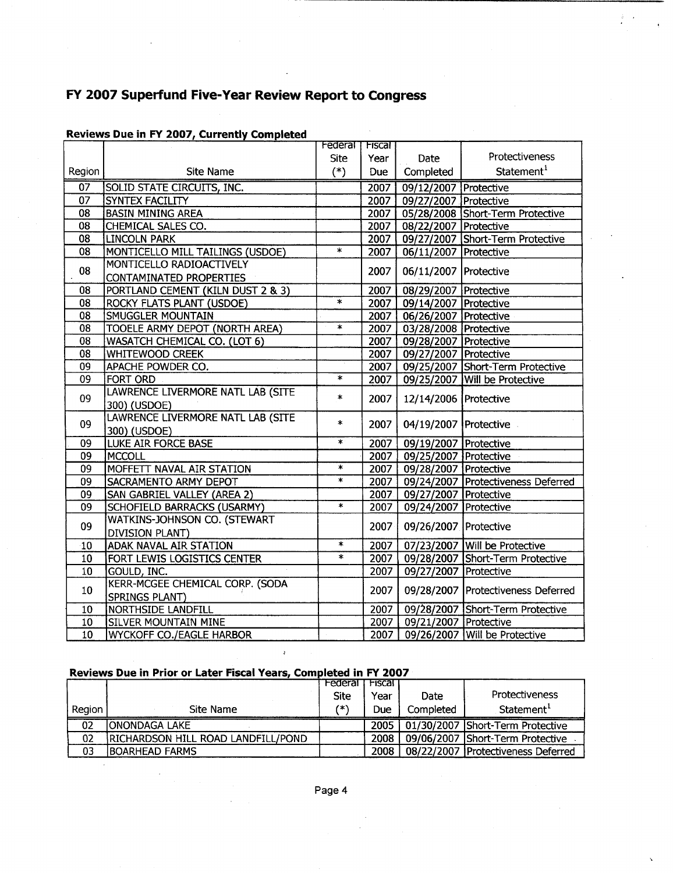|                 |                                    | Federal                 | Fiscal            |                       |                                    |
|-----------------|------------------------------------|-------------------------|-------------------|-----------------------|------------------------------------|
|                 |                                    | Site                    | Year              | Date                  | Protectiveness                     |
| Region          | <b>Site Name</b>                   | $(*)$                   | Due               | Completed             | Statement <sup>1</sup>             |
| $\overline{07}$ | <b>SOLID STATE CIRCUITS, INC.</b>  |                         | 2007              | 09/12/2007 Protective |                                    |
| $\overline{07}$ | <b>SYNTEX FACILITY</b>             |                         | 2007              | 09/27/2007 Protective |                                    |
| 08              | <b>BASIN MINING AREA</b>           |                         | 2007              |                       | 05/28/2008 Short-Term Protective   |
| 08              | CHEMICAL SALES CO.                 |                         | 2007              | 08/22/2007 Protective |                                    |
| 08              | <b>LINCOLN PARK</b>                |                         | 2007              |                       | 09/27/2007 Short-Term Protective   |
| 08              | MONTICELLO MILL TAILINGS (USDOE)   | $\ast$                  | 2007              | 06/11/2007 Protective |                                    |
| 08              | MONTICELLO RADIOACTIVELY           |                         | 2007              |                       |                                    |
|                 | <b>CONTAMINATED PROPERTIES</b>     |                         |                   | 06/11/2007 Protective |                                    |
| 08              | PORTLAND CEMENT (KILN DUST 2 & 3)  |                         | 2007              | 08/29/2007 Protective |                                    |
| 08              | <b>ROCKY FLATS PLANT (USDOE)</b>   | $\overline{\mathbf{x}}$ | 2007              | 09/14/2007 Protective |                                    |
| 08              | SMUGGLER MOUNTAIN                  |                         | 2007              | 06/26/2007 Protective |                                    |
| 08              | TOOELE ARMY DEPOT (NORTH AREA)     | Ä.                      | 2007              | 03/28/2008 Protective |                                    |
| 08              | WASATCH CHEMICAL CO. (LOT 6)       |                         | 2007              | 09/28/2007 Protective |                                    |
| 08              | <b>WHITEWOOD CREEK</b>             |                         | 2007              | 09/27/2007 Protective |                                    |
| 09              | APACHE POWDER CO.                  |                         | 2007              |                       | 09/25/2007 Short-Term Protective   |
| 09              | <b>FORT ORD</b>                    | $\overline{\ast}$       | 2007              |                       | 09/25/2007 Will be Protective      |
| 09              | LAWRENCE LIVERMORE NATL LAB (SITE  |                         | $\ast$<br>2007    | 12/14/2006 Protective |                                    |
|                 | 300) (USDOE)                       |                         |                   |                       |                                    |
| 09              | LAWRENCE LIVERMORE NATL LAB (SITE  | $\ast$                  | 2007              | 04/19/2007 Protective |                                    |
|                 | 300) (USDOE)                       |                         |                   |                       |                                    |
| 09              | <b>LUKE AIR FORCE BASE</b>         | $\ast$                  | 2007              | 09/19/2007 Protective |                                    |
| 09              | <b>MCCOLL</b>                      |                         | $\overline{2}007$ | 09/25/2007 Protective |                                    |
| 09              | MOFFETT NAVAL AIR STATION          | $\overline{\ast}$       | 2007              | 09/28/2007 Protective |                                    |
| 09              | SACRAMENTO ARMY DEPOT              | $\ast$                  | 2007              |                       | 09/24/2007 Protectiveness Deferred |
| 09              | SAN GABRIEL VALLEY (AREA 2)        |                         | 2007              | 09/27/2007 Protective |                                    |
| 09              | <b>SCHOFIELD BARRACKS (USARMY)</b> | $\ast$                  | 2007              | 09/24/2007 Protective |                                    |
| 09              | WATKINS-JOHNSON CO. (STEWART       |                         |                   |                       |                                    |
|                 | <b>DIVISION PLANT)</b>             |                         | 2007              | 09/26/2007 Protective |                                    |
| 10              | <b>ADAK NAVAL AIR STATION</b>      | $\star$                 | 2007              |                       | 07/23/2007 Will be Protective      |
| 10              | FORT LEWIS LOGISTICS CENTER        | $\star$                 | 2007              |                       | 09/28/2007 Short-Term Protective   |
| 10              | GOULD, INC.                        |                         | 2007              | 09/27/2007 Protective |                                    |
|                 | KERR-MCGEE CHEMICAL CORP. (SODA    |                         |                   |                       |                                    |
| 10              | <b>SPRINGS PLANT)</b>              |                         | 2007              |                       | 09/28/2007 Protectiveness Deferred |
| 10              | <b>NORTHSIDE LANDFILL</b>          |                         | 2007              |                       | 09/28/2007 Short-Term Protective   |
| 10              | <b>SILVER MOUNTAIN MINE</b>        |                         | 2007              | 09/21/2007 Protective |                                    |
| 10              | <b>WYCKOFF CO./EAGLE HARBOR</b>    |                         | 2007              |                       | 09/26/2007 Will be Protective      |

## Reviews Due in FY 2007, Currently Completed

#### Reviews Due in Prior or Later Fiscal Years, Completed in FY 2007

 $\mathfrak{g}$ 

|        |                                    | Federal     | Fiscal |           |                                    |
|--------|------------------------------------|-------------|--------|-----------|------------------------------------|
|        |                                    | <b>Site</b> | Year   | Date      | <b>Protectiveness</b>              |
| Region | Site Name                          | 7*\         | Due    | Completed | Statement <sup>1</sup>             |
| 02     | <b>IONONDAGA LAKE</b>              |             | 2005 i |           | 01/30/2007 Short-Term Protective   |
| 02     | RICHARDSON HILL ROAD LANDFILL/POND |             | 2008   |           | 09/06/2007 Short-Term Protective   |
| 03     | <b>BOARHEAD FARMS</b>              |             | 2008   |           | 08/22/2007 Protectiveness Deferred |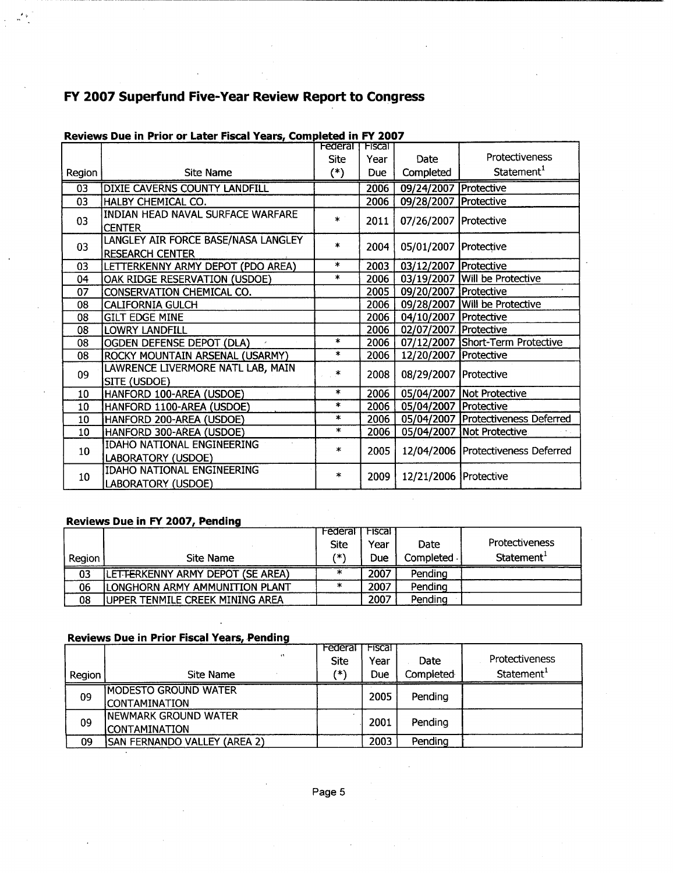|                 |                                                               | <b>Federal TFiscal</b> |      |                         | Protectiveness                       |
|-----------------|---------------------------------------------------------------|------------------------|------|-------------------------|--------------------------------------|
|                 |                                                               | Site                   | Year | Date                    |                                      |
| Region          | <b>Site Name</b>                                              | $(*)$                  | Due  | Completed               | Statement <sup>1</sup>               |
| $\overline{03}$ | <b>DIXIE CAVERNS COUNTY LANDFILL</b>                          |                        | 2006 | 09/24/2007 Protective   |                                      |
| 03              | HALBY CHEMICAL CO.                                            |                        | 2006 | 09/28/2007   Protective |                                      |
| 03              | INDIAN HEAD NAVAL SURFACE WARFARE<br><b>CENTER</b>            | $\ast$                 | 2011 | 07/26/2007   Protective |                                      |
| 03              | LANGLEY AIR FORCE BASE/NASA LANGLEY<br><b>RESEARCH CENTER</b> | $\ast$                 | 2004 | 05/01/2007 Protective   |                                      |
| 03              | LETTERKENNY ARMY DEPOT (PDO AREA)                             | $\ast$                 | 2003 | 03/12/2007 Protective   |                                      |
| 04              | OAK RIDGE RESERVATION (USDOE)                                 | $\ast$                 | 2006 |                         | 03/19/2007 Will be Protective        |
| 07              | CONSERVATION CHEMICAL CO.                                     |                        | 2005 | 09/20/2007 Protective   |                                      |
| 08              | <b>CALIFORNIA GULCH</b>                                       |                        | 2006 |                         | 09/28/2007 Will be Protective        |
| 08              | <b>GILT EDGE MINE</b>                                         |                        | 2006 | 04/10/2007 Protective   |                                      |
| 08              | LOWRY LANDFILL                                                |                        | 2006 | 02/07/2007 Protective   |                                      |
| 08              | OGDEN DEFENSE DEPOT (DLA)                                     | $\ast$                 | 2006 |                         | 07/12/2007 Short-Term Protective     |
| 08              | ROCKY MOUNTAIN ARSENAL (USARMY)                               | $\ast$                 | 2006 | 12/20/2007   Protective |                                      |
| 09              | LAWRENCE LIVERMORE NATL LAB, MAIN<br><b>SITE (USDOE)</b>      | $\ast$                 | 2008 | 08/29/2007   Protective |                                      |
| 10              | HANFORD 100-AREA (USDOE)                                      | $\ast$                 | 2006 |                         | 05/04/2007 Not Protective            |
| 10              | HANFORD 1100-AREA (USDOE)                                     | $\ast$                 | 2006 | 05/04/2007   Protective |                                      |
| 10              | HANFORD 200-AREA (USDOE)                                      | $\ast$                 | 2006 |                         | 05/04/2007   Protectiveness Deferred |
| 10              | HANFORD 300-AREA (USDOE)                                      | $\ast$                 | 2006 |                         | 05/04/2007   Not Protective          |
| 10 <sub>1</sub> | IDAHO NATIONAL ENGINEERING                                    | $\ast$                 | 2005 |                         | 12/04/2006 Protectiveness Deferred   |
|                 | LABORATORY (USDOE)                                            |                        |      |                         |                                      |
| 10              | IDAHO NATIONAL ENGINEERING                                    | $\ast$                 | 2009 | 12/21/2006   Protective |                                      |
|                 | LABORATORY (USDOE)                                            |                        |      |                         |                                      |

## Reviews Due in Prior or Later Fiscal Years, Completed in FY 2007

#### Reviews Due in FY 2007, Pending

|        |                                  | Federal     | <b>Fiscal</b> |             |                        |
|--------|----------------------------------|-------------|---------------|-------------|------------------------|
|        |                                  | <b>Site</b> | Year          | Date        | <b>Protectiveness</b>  |
| Reaion | Site Name                        | (* \        | Due           | Completed - | Statement <sup>1</sup> |
| 03     | LETTERKENNY ARMY DEPOT (SE AREA) |             | 2007          | Pending     |                        |
| 06     | ILONGHORN ARMY AMMUNITION PLANT  | ×           | 2007          | Pendina     |                        |
| 08     | lupper tenmile Creek Mining Area |             | 2007          | Pendina     |                        |

#### Reviews Due in Prior Fiscal Years, Pending

|        |                              | Federal     | Fiscal |                 |                        |
|--------|------------------------------|-------------|--------|-----------------|------------------------|
|        | $\ddot{\phantom{1}}$         | <b>Site</b> | Year   | Date            | Protectiveness         |
| Region | Site Name                    | 7*)         | Due    | Completed       | Statement <sup>1</sup> |
| 09     | <b>MODESTO GROUND WATER</b>  |             | 2005   | Pending         |                        |
|        | ICONTAMINATION               |             |        |                 |                        |
| 09     | INEWMARK GROUND WATER        |             |        | Pending<br>2001 |                        |
|        | ICONTAMINATION               |             |        |                 |                        |
| 09     | SAN FERNANDO VALLEY (AREA 2) |             | 2003   | Pending         |                        |